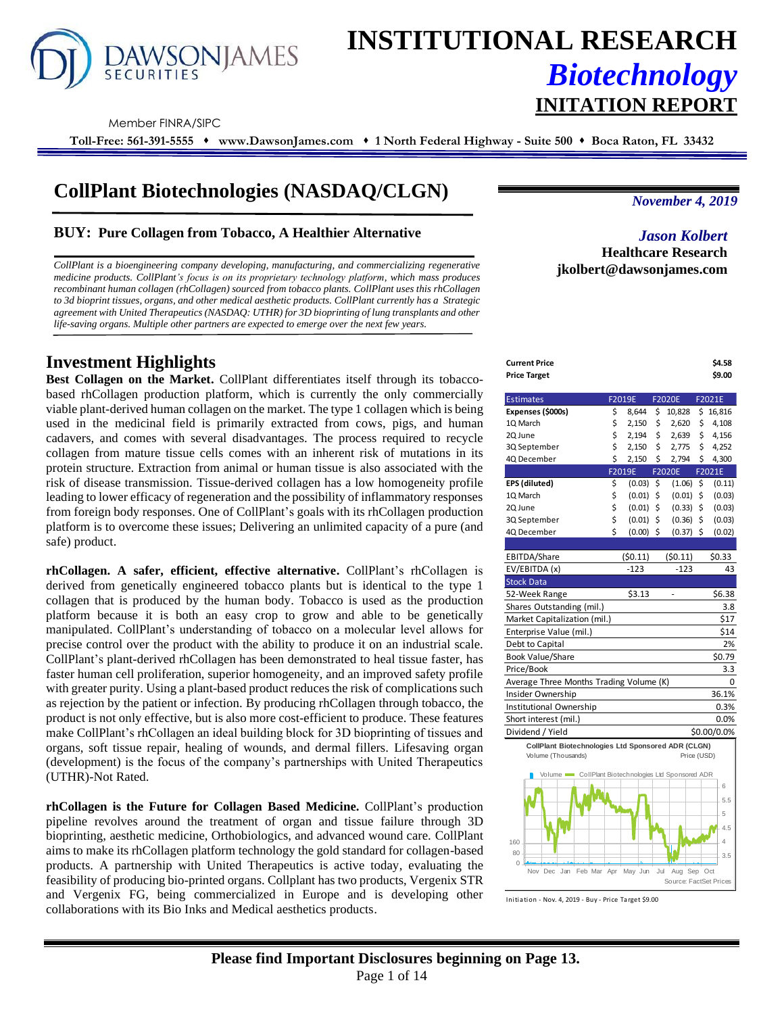

# **INSTITUTIONAL RESEARCH** *Biotechnology* **INITATION REPORT**

Member FINRA/SIPC

**Toll-Free: 561-391-5555** ⬧ **www.DawsonJames.com** ⬧ **1 North Federal Highway - Suite 500** ⬧ **Boca Raton, FL 33432**

# **CollPlant Biotechnologies (NASDAQ/CLGN)**

# **BUY: Pure Collagen from Tobacco, A Healthier Alternative**

*CollPlant is a bioengineering company developing, manufacturing, and commercializing regenerative medicine products. CollPlant's focus is on its proprietary technology platform, which mass produces recombinant human collagen (rhCollagen) sourced from tobacco plants. CollPlant uses this rhCollagen to 3d bioprint tissues, organs, and other medical aesthetic products. CollPlant currently has a Strategic agreement with United Therapeutics (NASDAQ: UTHR) for 3D bioprinting of lung transplants and other life-saving organs. Multiple other partners are expected to emerge over the next few years.*

# **Investment Highlights**

**Best Collagen on the Market.** CollPlant differentiates itself through its tobaccobased rhCollagen production platform, which is currently the only commercially viable plant-derived human collagen on the market. The type 1 collagen which is being used in the medicinal field is primarily extracted from cows, pigs, and human cadavers, and comes with several disadvantages. The process required to recycle collagen from mature tissue cells comes with an inherent risk of mutations in its protein structure. Extraction from animal or human tissue is also associated with the risk of disease transmission. Tissue-derived collagen has a low homogeneity profile leading to lower efficacy of regeneration and the possibility of inflammatory responses from foreign body responses. One of CollPlant's goals with its rhCollagen production platform is to overcome these issues; Delivering an unlimited capacity of a pure (and safe) product.

**rhCollagen. A safer, efficient, effective alternative.** CollPlant's rhCollagen is derived from genetically engineered tobacco plants but is identical to the type 1 collagen that is produced by the human body. Tobacco is used as the production platform because it is both an easy crop to grow and able to be genetically manipulated. CollPlant's understanding of tobacco on a molecular level allows for precise control over the product with the ability to produce it on an industrial scale. CollPlant's plant-derived rhCollagen has been demonstrated to heal tissue faster, has faster human cell proliferation, superior homogeneity, and an improved safety profile with greater purity. Using a plant-based product reduces the risk of complications such as rejection by the patient or infection. By producing rhCollagen through tobacco, the product is not only effective, but is also more cost-efficient to produce. These features make CollPlant's rhCollagen an ideal building block for 3D bioprinting of tissues and organs, soft tissue repair, healing of wounds, and dermal fillers. Lifesaving organ (development) is the focus of the company's partnerships with United Therapeutics (UTHR)-Not Rated.

**rhCollagen is the Future for Collagen Based Medicine.** CollPlant's production pipeline revolves around the treatment of organ and tissue failure through 3D bioprinting, aesthetic medicine, Orthobiologics, and advanced wound care. CollPlant aims to make its rhCollagen platform technology the gold standard for collagen-based products. A partnership with United Therapeutics is active today, evaluating the feasibility of producing bio-printed organs. Collplant has two products, Vergenix STR and Vergenix FG, being commercialized in Europe and is developing other collaborations with its Bio Inks and Medical aesthetics products.

*November 4, 2019*

# *Jason Kolbert* **Healthcare Research jkolbert@dawsonjames.com**

| Current Price | \$4.58 |
|---------------|--------|
| Price Target  | \$9.00 |
|               |        |

| <b>Estimates</b>                                   | F2019E            |     | <b>F2020E</b>            | F2021E       |
|----------------------------------------------------|-------------------|-----|--------------------------|--------------|
| Expenses (\$000s)                                  | \$<br>8,644       | \$  | 10,828                   | \$<br>16,816 |
| 10 March                                           | \$<br>2,150       | \$  | 2,620                    | \$<br>4,108  |
| 2Q June                                            | \$<br>2,194       | \$  | 2,639                    | \$<br>4,156  |
| 3Q September                                       | \$<br>2,150       | \$  | 2,775                    | \$<br>4,252  |
| 4Q December                                        | \$<br>2,150       | \$  | 2,794                    | \$<br>4,300  |
|                                                    | F2019E            |     | F2020E                   | F2021E       |
| EPS (diluted)                                      | \$<br>(0.03)      | \$  | (1.06)                   | \$<br>(0.11) |
| 1Q March                                           | \$<br>(0.01)      | \$  | (0.01)                   | \$<br>(0.03) |
| 2Q June                                            | \$<br>(0.01)      | \$  | (0.33)                   | \$<br>(0.03) |
| 3Q September                                       | \$<br>(0.01)      | \$  | (0.36)                   | \$<br>(0.03) |
| 4Q December                                        | \$<br>$(0.00)$ \$ |     | $(0.37)$ \$              | (0.02)       |
|                                                    |                   |     |                          |              |
| EBITDA/Share                                       | (50.11)           |     | (50.11)                  | \$0.33       |
| EV/EBITDA (x)                                      | $-123$            |     | $-123$                   | 43           |
| <b>Stock Data</b>                                  |                   |     |                          |              |
| 52-Week Range                                      | \$3.13            |     | $\overline{\phantom{0}}$ | \$6.38       |
| Shares Outstanding (mil.)                          |                   |     |                          | 3.8          |
| Market Capitalization (mil.)                       |                   |     |                          | \$17         |
| Enterprise Value (mil.)                            |                   |     |                          | \$14         |
| Debt to Capital                                    |                   |     |                          | 2%           |
| Book Value/Share                                   |                   |     |                          | \$0.79       |
| Price/Book                                         |                   |     |                          | 3.3          |
| Average Three Months Trading Volume (K)            |                   |     |                          | 0            |
| Insider Ownership                                  |                   |     |                          | 36.1%        |
| Institutional Ownership                            |                   |     |                          | 0.3%         |
| Short interest (mil.)                              |                   |     |                          | 0.0%         |
| Dividend / Yield                                   |                   |     |                          | \$0.00/0.0%  |
| CollPlant Biotechnologies Ltd Sponsored ADR (CLGN) |                   |     |                          |              |
| Volume (Thousands)                                 |                   |     | Price (USD)              |              |
| Volume CollPlant Biotechnologies Ltd Sponsored ADR |                   |     |                          |              |
|                                                    |                   |     |                          | 6            |
|                                                    |                   |     |                          | 5.5          |
|                                                    |                   |     |                          | 5            |
|                                                    |                   |     |                          | 4.5          |
| 160                                                |                   |     |                          | 4            |
| 80<br>$\Omega$ .                                   |                   |     |                          | 3.5          |
| Feb Mar Apr<br>Nov Dec<br>Jan                      | May Jun           | Jul | Aug Sep Oct              |              |
|                                                    |                   |     | Source: FactSet Prices   |              |

Initiation - Nov. 4, 2019 - Buy - Price Target \$9.00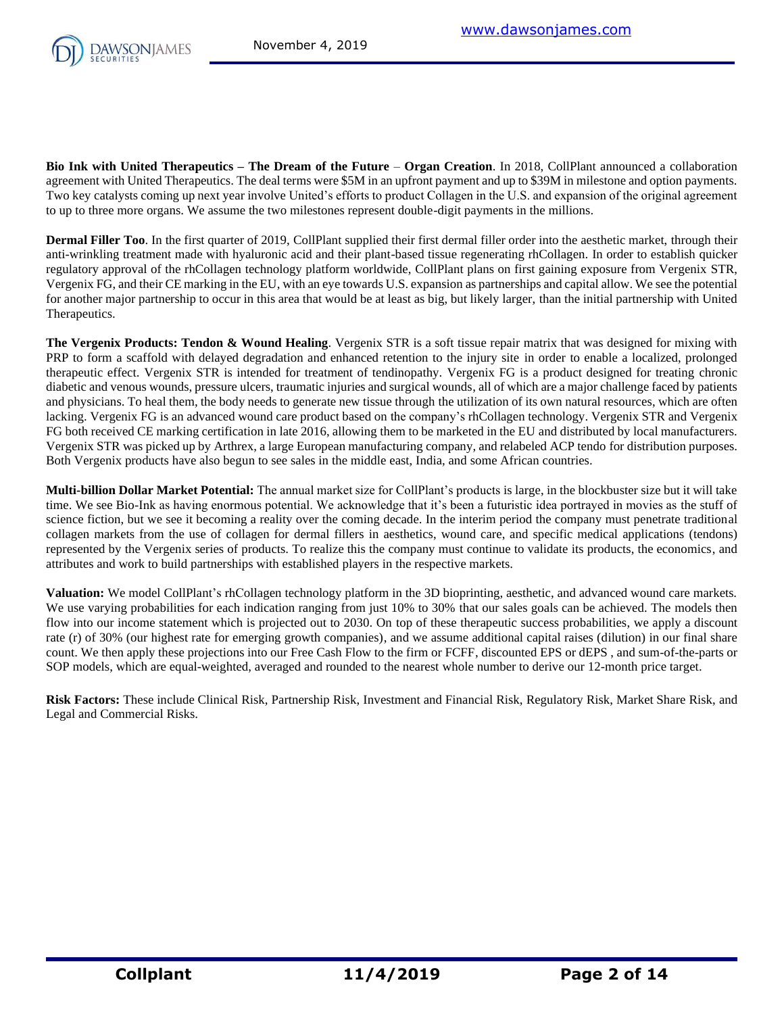

**Bio Ink with United Therapeutics – The Dream of the Future** – **Organ Creation**. In 2018, CollPlant announced a collaboration agreement with United Therapeutics. The deal terms were \$5M in an upfront payment and up to \$39M in milestone and option payments. Two key catalysts coming up next year involve United's efforts to product Collagen in the U.S. and expansion of the original agreement to up to three more organs. We assume the two milestones represent double-digit payments in the millions.

**Dermal Filler Too**. In the first quarter of 2019, CollPlant supplied their first dermal filler order into the aesthetic market, through their anti-wrinkling treatment made with hyaluronic acid and their plant-based tissue regenerating rhCollagen. In order to establish quicker regulatory approval of the rhCollagen technology platform worldwide, CollPlant plans on first gaining exposure from Vergenix STR, Vergenix FG, and their CE marking in the EU, with an eye towards U.S. expansion as partnerships and capital allow. We see the potential for another major partnership to occur in this area that would be at least as big, but likely larger, than the initial partnership with United Therapeutics.

**The Vergenix Products: Tendon & Wound Healing**. Vergenix STR is a soft tissue repair matrix that was designed for mixing with PRP to form a scaffold with delayed degradation and enhanced retention to the injury site in order to enable a localized, prolonged therapeutic effect. Vergenix STR is intended for treatment of tendinopathy. Vergenix FG is a product designed for treating chronic diabetic and venous wounds, pressure ulcers, traumatic injuries and surgical wounds, all of which are a major challenge faced by patients and physicians. To heal them, the body needs to generate new tissue through the utilization of its own natural resources, which are often lacking. Vergenix FG is an advanced wound care product based on the company's rhCollagen technology. Vergenix STR and Vergenix FG both received CE marking certification in late 2016, allowing them to be marketed in the EU and distributed by local manufacturers. Vergenix STR was picked up by Arthrex, a large European manufacturing company, and relabeled ACP tendo for distribution purposes. Both Vergenix products have also begun to see sales in the middle east, India, and some African countries.

**Multi-billion Dollar Market Potential:** The annual market size for CollPlant's products is large, in the blockbuster size but it will take time. We see Bio-Ink as having enormous potential. We acknowledge that it's been a futuristic idea portrayed in movies as the stuff of science fiction, but we see it becoming a reality over the coming decade. In the interim period the company must penetrate traditional collagen markets from the use of collagen for dermal fillers in aesthetics, wound care, and specific medical applications (tendons) represented by the Vergenix series of products. To realize this the company must continue to validate its products, the economics, and attributes and work to build partnerships with established players in the respective markets.

**Valuation:** We model CollPlant's rhCollagen technology platform in the 3D bioprinting, aesthetic, and advanced wound care markets. We use varying probabilities for each indication ranging from just 10% to 30% that our sales goals can be achieved. The models then flow into our income statement which is projected out to 2030. On top of these therapeutic success probabilities, we apply a discount rate (r) of 30% (our highest rate for emerging growth companies), and we assume additional capital raises (dilution) in our final share count. We then apply these projections into our Free Cash Flow to the firm or FCFF, discounted EPS or dEPS , and sum-of-the-parts or SOP models, which are equal-weighted, averaged and rounded to the nearest whole number to derive our 12-month price target.

**Risk Factors:** These include Clinical Risk, Partnership Risk, Investment and Financial Risk, Regulatory Risk, Market Share Risk, and Legal and Commercial Risks.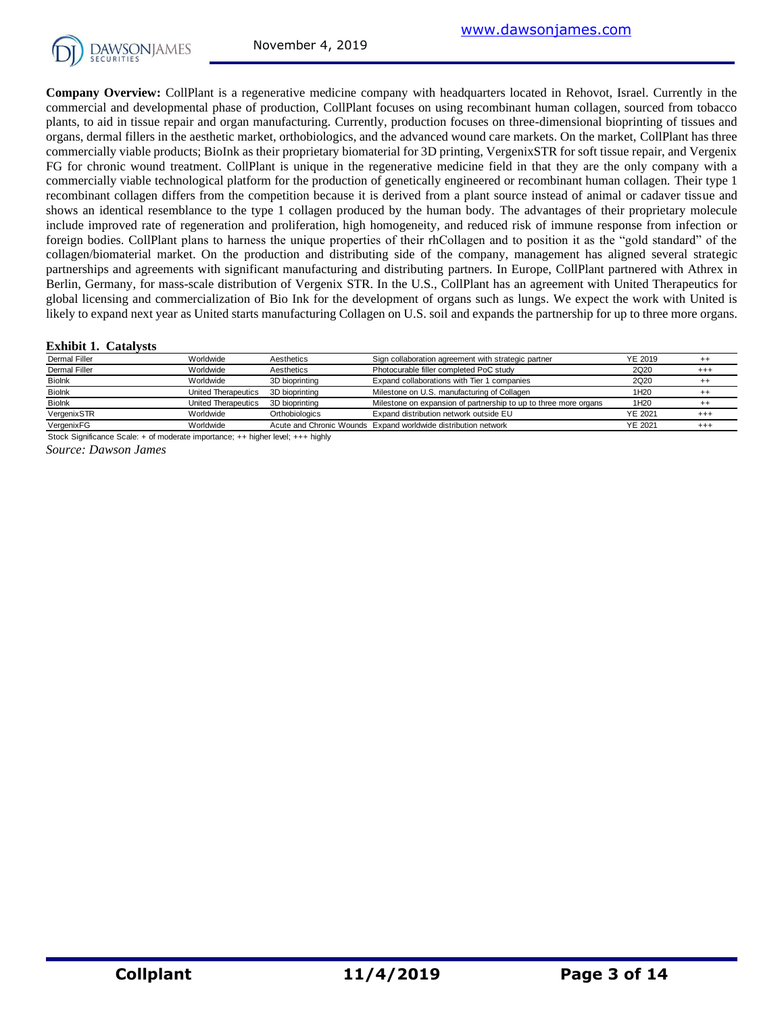

**Company Overview:** CollPlant is a regenerative medicine company with headquarters located in Rehovot, Israel. Currently in the commercial and developmental phase of production, CollPlant focuses on using recombinant human collagen, sourced from tobacco plants, to aid in tissue repair and organ manufacturing. Currently, production focuses on three-dimensional bioprinting of tissues and organs, dermal fillers in the aesthetic market, orthobiologics, and the advanced wound care markets. On the market, CollPlant has three commercially viable products; BioInk as their proprietary biomaterial for 3D printing, VergenixSTR for soft tissue repair, and Vergenix FG for chronic wound treatment. CollPlant is unique in the regenerative medicine field in that they are the only company with a commercially viable technological platform for the production of genetically engineered or recombinant human collagen. Their type 1 recombinant collagen differs from the competition because it is derived from a plant source instead of animal or cadaver tissue and shows an identical resemblance to the type 1 collagen produced by the human body. The advantages of their proprietary molecule include improved rate of regeneration and proliferation, high homogeneity, and reduced risk of immune response from infection or foreign bodies. CollPlant plans to harness the unique properties of their rhCollagen and to position it as the "gold standard" of the collagen/biomaterial market. On the production and distributing side of the company, management has aligned several strategic partnerships and agreements with significant manufacturing and distributing partners. In Europe, CollPlant partnered with Athrex in Berlin, Germany, for mass-scale distribution of Vergenix STR. In the U.S., CollPlant has an agreement with United Therapeutics for Befinit, Germany, for mass-scale distribution of Vergentx STR. In the U.S., Commant has an agreement with United Therapeutics for<br>global licensing and commercialization of Bio Ink for the development of organs such as lung

#### **Exhibit 1. Catalysts**

| likely to expand next year as United starts manufacturing Collagen on U.S. soil and expands the partnership for up to three more organs. |                     |                |                                                                  |                  |          |  |  |  |  |  |  |
|------------------------------------------------------------------------------------------------------------------------------------------|---------------------|----------------|------------------------------------------------------------------|------------------|----------|--|--|--|--|--|--|
| <b>Exhibit 1. Catalysts</b>                                                                                                              |                     |                |                                                                  |                  |          |  |  |  |  |  |  |
| Dermal Filler                                                                                                                            | Worldwide           | Aesthetics     | Sign collaboration agreement with strategic partner              | <b>YE 2019</b>   | $^{++}$  |  |  |  |  |  |  |
| Dermal Filler                                                                                                                            | Worldwide           | Aesthetics     | Photocurable filler completed PoC study                          | 2Q20             | $^{+++}$ |  |  |  |  |  |  |
| Biolnk                                                                                                                                   | Worldwide           | 3D bioprinting | Expand collaborations with Tier 1 companies                      | 2Q20             | $^{++}$  |  |  |  |  |  |  |
| <b>Biolnk</b>                                                                                                                            | United Therapeutics | 3D bioprinting | Milestone on U.S. manufacturing of Collagen                      | 1H <sub>20</sub> | $^{++}$  |  |  |  |  |  |  |
| Biolnk                                                                                                                                   | United Therapeutics | 3D bioprinting | Milestone on expansion of partnership to up to three more organs | 1H <sub>20</sub> | $^{++}$  |  |  |  |  |  |  |
| VergenixSTR                                                                                                                              | Worldwide           | Orthobiologics | Expand distribution network outside EU                           | <b>YE 2021</b>   | $^{+++}$ |  |  |  |  |  |  |
| VergenixFG                                                                                                                               | Worldwide           |                | Acute and Chronic Wounds Expand worldwide distribution network   | YE 2021          | $^{+++}$ |  |  |  |  |  |  |

*Source: Dawson James* Stock Significance Scale: + of moderate importance; ++ higher level; +++ highly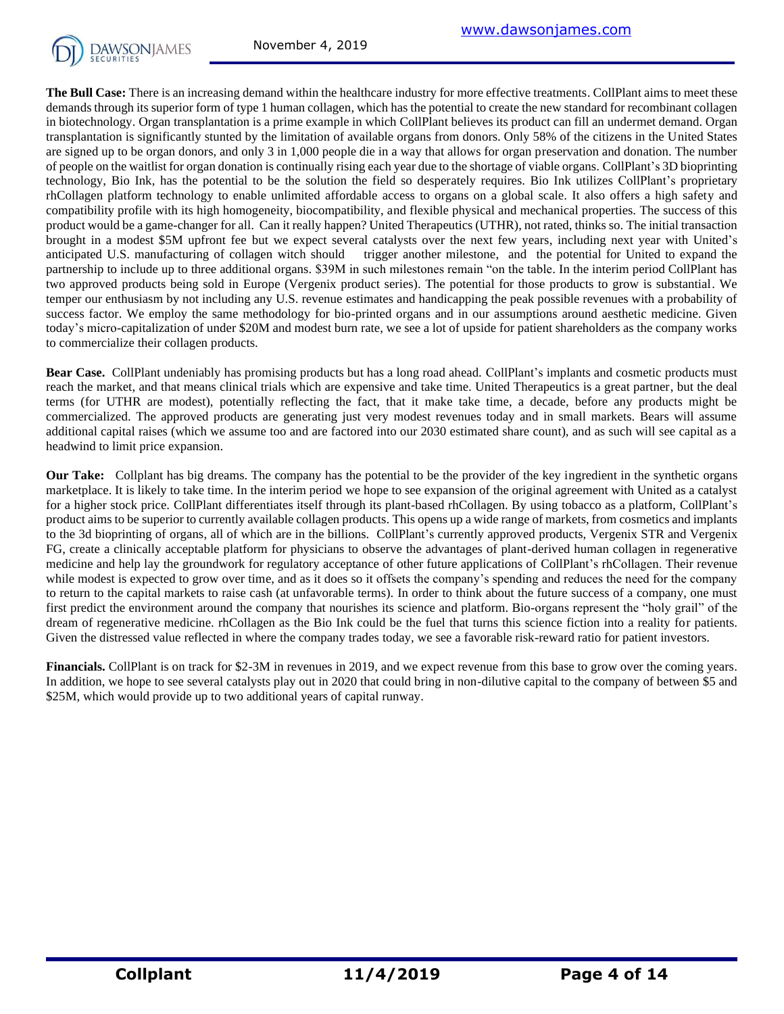

**The Bull Case:** There is an increasing demand within the healthcare industry for more effective treatments. CollPlant aims to meet these demands through its superior form of type 1 human collagen, which has the potential to create the new standard for recombinant collagen in biotechnology. Organ transplantation is a prime example in which CollPlant believes its product can fill an undermet demand. Organ transplantation is significantly stunted by the limitation of available organs from donors. Only 58% of the citizens in the United States are signed up to be organ donors, and only 3 in 1,000 people die in a way that allows for organ preservation and donation. The number of people on the waitlist for organ donation is continually rising each year due to the shortage of viable organs. CollPlant's 3D bioprinting technology, Bio Ink, has the potential to be the solution the field so desperately requires. Bio Ink utilizes CollPlant's proprietary rhCollagen platform technology to enable unlimited affordable access to organs on a global scale. It also offers a high safety and compatibility profile with its high homogeneity, biocompatibility, and flexible physical and mechanical properties. The success of this product would be a game-changer for all. Can it really happen? United Therapeutics (UTHR), not rated, thinks so. The initial transaction brought in a modest \$5M upfront fee but we expect several catalysts over the next few years, including next year with United's anticipated U.S. manufacturing of collagen witch should trigger another milestone, and the potential for United to expand the partnership to include up to three additional organs. \$39M in such milestones remain "on the table. In the interim period CollPlant has two approved products being sold in Europe (Vergenix product series). The potential for those products to grow is substantial. We temper our enthusiasm by not including any U.S. revenue estimates and handicapping the peak possible revenues with a probability of success factor. We employ the same methodology for bio-printed organs and in our assumptions around aesthetic medicine. Given today's micro-capitalization of under \$20M and modest burn rate, we see a lot of upside for patient shareholders as the company works to commercialize their collagen products.

**Bear Case.** CollPlant undeniably has promising products but has a long road ahead. CollPlant's implants and cosmetic products must reach the market, and that means clinical trials which are expensive and take time. United Therapeutics is a great partner, but the deal terms (for UTHR are modest), potentially reflecting the fact, that it make take time, a decade, before any products might be commercialized. The approved products are generating just very modest revenues today and in small markets. Bears will assume additional capital raises (which we assume too and are factored into our 2030 estimated share count), and as such will see capital as a headwind to limit price expansion.

**Our Take:** Collplant has big dreams. The company has the potential to be the provider of the key ingredient in the synthetic organs marketplace. It is likely to take time. In the interim period we hope to see expansion of the original agreement with United as a catalyst for a higher stock price. CollPlant differentiates itself through its plant-based rhCollagen. By using tobacco as a platform, CollPlant's product aims to be superior to currently available collagen products. This opens up a wide range of markets, from cosmetics and implants to the 3d bioprinting of organs, all of which are in the billions. CollPlant's currently approved products, Vergenix STR and Vergenix FG, create a clinically acceptable platform for physicians to observe the advantages of plant-derived human collagen in regenerative medicine and help lay the groundwork for regulatory acceptance of other future applications of CollPlant's rhCollagen. Their revenue while modest is expected to grow over time, and as it does so it offsets the company's spending and reduces the need for the company to return to the capital markets to raise cash (at unfavorable terms). In order to think about the future success of a company, one must first predict the environment around the company that nourishes its science and platform. Bio-organs represent the "holy grail" of the dream of regenerative medicine. rhCollagen as the Bio Ink could be the fuel that turns this science fiction into a reality for patients. Given the distressed value reflected in where the company trades today, we see a favorable risk-reward ratio for patient investors.

**Financials.** CollPlant is on track for \$2-3M in revenues in 2019, and we expect revenue from this base to grow over the coming years. In addition, we hope to see several catalysts play out in 2020 that could bring in non-dilutive capital to the company of between \$5 and \$25M, which would provide up to two additional years of capital runway.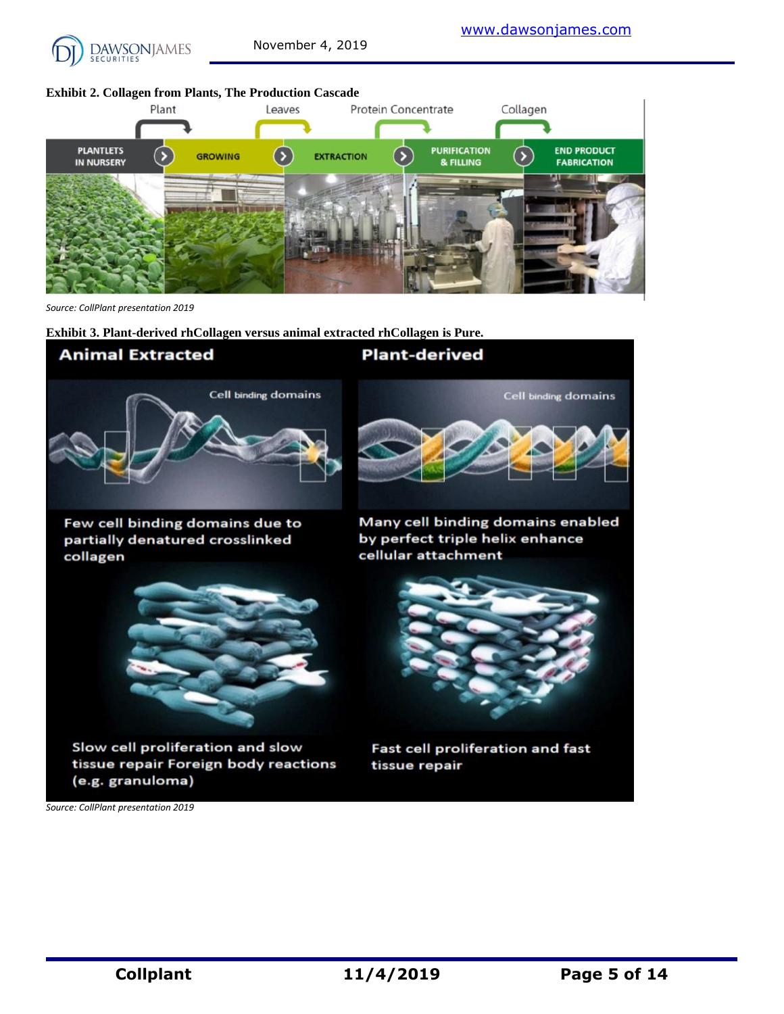

#### **Exhibit 2. Collagen from Plants, The Production Cascade**



*Source: CollPlant presentation 2019*

**Exhibit 3. Plant-derived rhCollagen versus animal extracted rhCollagen is Pure.**



*Source: CollPlant presentation 2019*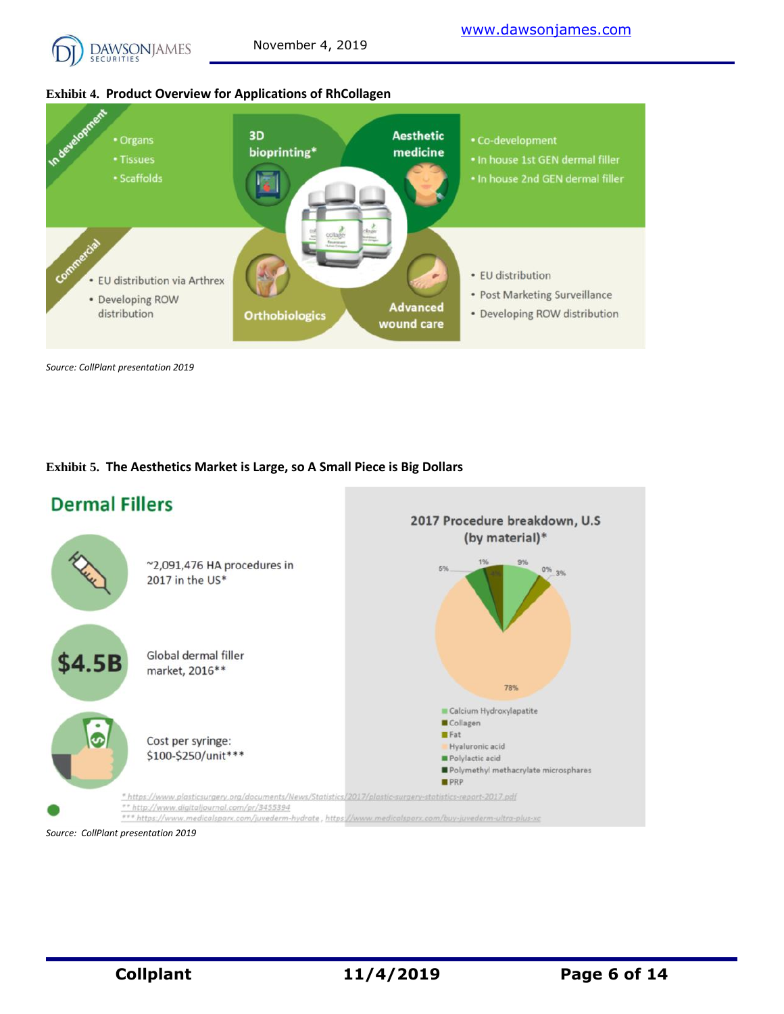

#### **Exhibit 4. Product Overview for Applications of RhCollagen**



*Source: CollPlant presentation 2019*

#### **Exhibit 5. The Aesthetics Market is Large, so A Small Piece is Big Dollars**

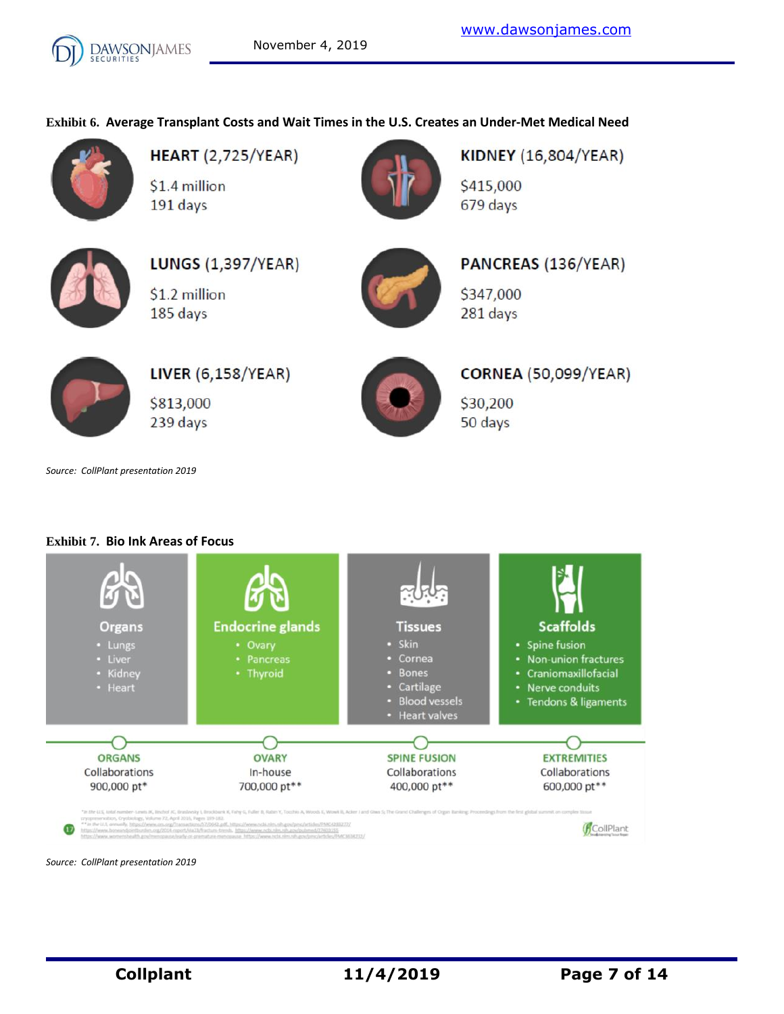# **Exhibit 6. Average Transplant Costs and Wait Times in the U.S. Creates an Under-Met Medical Need**



**HEART** (2,725/YEAR) \$1.4 million 191 days



**KIDNEY (16,804/YEAR)** \$415,000 679 days



**LUNGS (1,397/YEAR)** \$1.2 million 185 days



PANCREAS (136/YEAR) \$347,000 281 days



**LIVER (6,158/YEAR)** \$813,000 239 days



**CORNEA (50,099/YEAR)** 

\$30,200 50 days

*Source: CollPlant presentation 2019*

### **Exhibit 7. Bio Ink Areas of Focus**



*Source: CollPlant presentation 2019*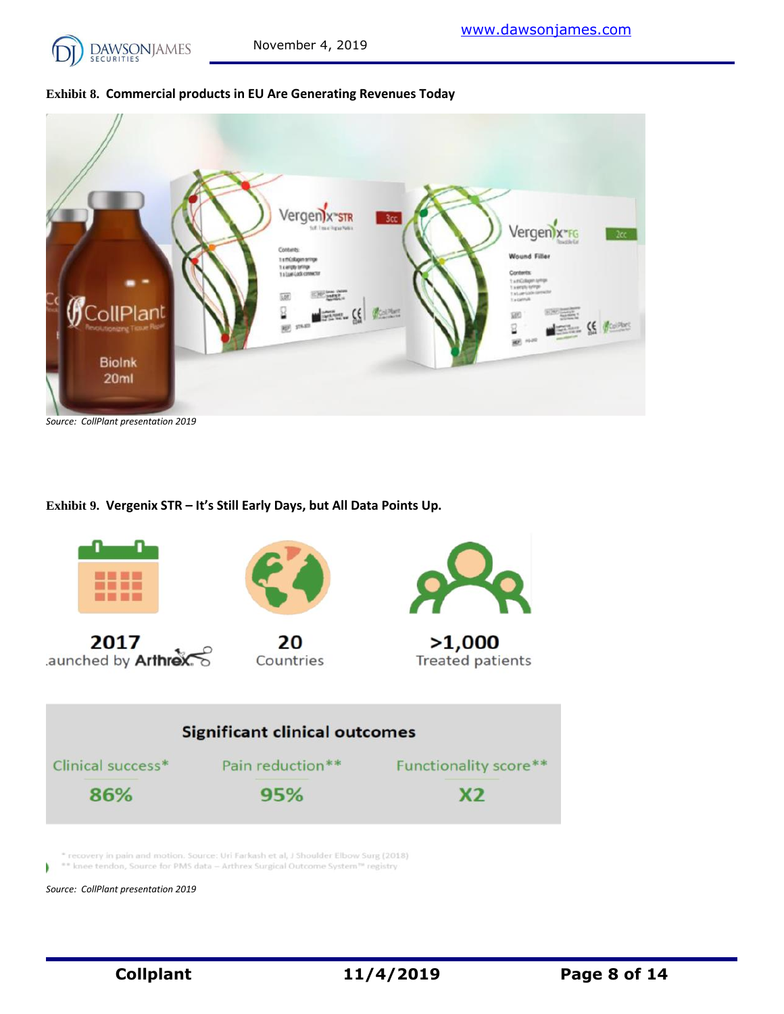



*Source: CollPlant presentation 2019*

**Exhibit 9. Vergenix STR – It's Still Early Days, but All Data Points Up.**



recovery in pain and motion. Source: Uri Farkash et al, J Shoulder Elbow Surg (2018) \*\* knee tendon, Source for PMS data - Arthrex Surgical Outcome System<sup>10</sup> registry

*Source: CollPlant presentation 2019*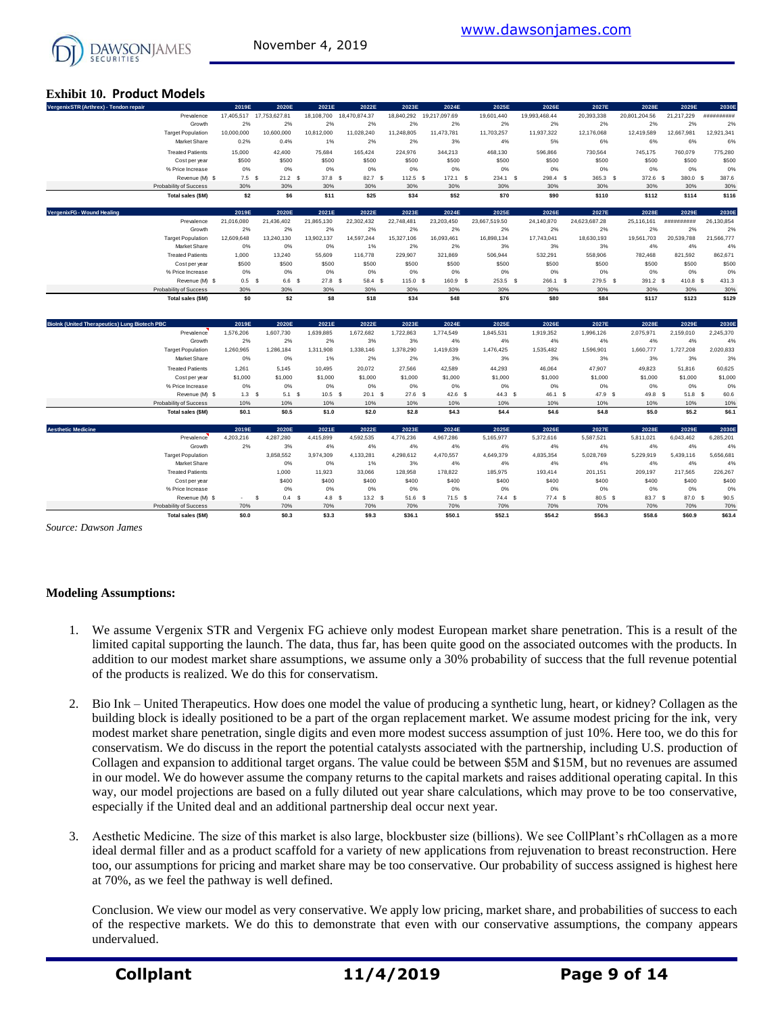

#### **Exhibit 10. Product Models**

| SECURITIES                                           |                  |                          |                    |                    |              |               |                   |                    |                    |               |              |                    |
|------------------------------------------------------|------------------|--------------------------|--------------------|--------------------|--------------|---------------|-------------------|--------------------|--------------------|---------------|--------------|--------------------|
| <b>Exhibit 10. Product Models</b>                    |                  |                          |                    |                    |              |               |                   |                    |                    |               |              |                    |
| VergenixSTR (Arthrex) - Tendon repair                | 2019E            | 2020E                    | 2021E              | 2022E              | 2023E        | 2024E         | 2025E             | 2026E              | 2027E              | 2028E         | 2029E        | 2030E              |
| Prevalence                                           |                  | 17,405,517 17,753,627.81 | 18,108,700         | 18,470,874.37      | 18,840,292   | 19,217,097.69 | 19,601,440        | 19,993,468.44      | 20,393,338         | 20,801,204.56 | 21,217,229   | ##########         |
| Growth                                               | 2%               | 2%                       | 2%                 | 2%                 | 2%           | 2%            | 2%                | 2%                 | 2%                 | 2%            | 2%           | 2%                 |
| <b>Target Population</b>                             | 10,000,000       | 10,600,000               | 10,812,000         | 11,028,240         | 11,248,805   | 11,473,781    | 11,703,257        | 11,937,322         | 12,176,068         | 12,419,589    | 12,667,981   | 12,921,341         |
| Market Share                                         | 0.2%             | 0.4%                     | 1%                 | 2%                 | 2%           | 3%            | 4%                | 5%                 | 6%                 | 6%            | 6%           | 6%                 |
| <b>Treated Patients</b>                              | 15,000           | 42,400                   | 75,684             | 165,424            | 224,976      | 344,213       | 468,130           | 596,866            | 730,564            | 745,175       | 760,079      | 775,280            |
| Cost per year                                        | \$500            | \$500                    | \$500              | \$500              | \$500        | \$500         | \$500             | \$500              | \$500              | \$500         | \$500        | \$500              |
| % Price Increase                                     | 0%               | 0%                       | 0%                 | 0%                 | 0%           | 0%            | 0%                | 0%                 | 0%                 | 0%            | 0%           | 0%                 |
| Revenue (M) \$                                       | $7.5-5$          | 21.2 <sup>5</sup>        | $37.8-5$           | 82.7 \$            | $112.5$ S    | $172.1$ \$    | 234.1 S           | 298.4 \$           | 365.3 \$           | 372.6 \$      | 380.0 \$     | 387.6              |
| Probability of Success                               | 30%              | 30%                      | 30%                | 30%                | 30%          | 30%           | 30%               | 30%                | 30%                | 30%           | 30%          | 30%                |
| Total sales (\$M)                                    | \$2              | \$6                      | \$11               | \$25               | \$34         | \$52          | \$70              | \$90               | \$110              | \$112         | \$114        | \$116              |
| VergenixFG - Wound Healing                           | 2019E            | 2020E                    | 2021E              | 2022E              | 2023E        | 2024E         | 2025E             | 2026E              | 2027E              | 2028E         | 2029E        | 2030E              |
| Prevalence                                           | 21,016,080       | 21,436,402               | 21,865,130         | 22,302,432         | 22,748,481   | 23,203,450    | 23,667,519.50     | 24,140,870         | 24,623,687.28      | 25,116,161    | ##########   | 26,130,854         |
| Growth                                               | 2%               | 2%                       | 2%                 | 2%                 | 2%           | 2%            | 2%                | 2%                 | 2%                 | 2%            | 2%           | 2%                 |
| <b>Target Population</b>                             | 12,609,648       | 13.240.130               | 13,902,137         | 14,597,244         | 15,327,106   | 16,093,461    | 16,898,134        | 17,743,041         | 18,630,193         | 19,561,703    | 20,539,788   | 21,566,777         |
| Market Share                                         | 0%               | 0%                       | 0%                 | 1%                 | 2%           | 2%            | 3%                | 3%                 | 3%                 | 4%            | 4%           | 4%                 |
| <b>Treated Patients</b>                              | 1,000            | 13,240                   | 55,609             | 116,778            | 229,907      | 321,869       | 506,944           | 532,291            | 558,906            | 782,468       | 821,592      | 862,671            |
| Cost per year<br>% Price Increase                    | \$500<br>0%      | \$500<br>0%              | \$500<br>0%        | \$500<br>0%        | \$500<br>0%  | \$500<br>0%   | \$500<br>0%       | \$500<br>0%        | \$500<br>0%        | \$500<br>0%   | \$500<br>0%  | \$500<br>0%        |
| Revenue (M) \$                                       | 0.5 <sup>5</sup> | 6.6 S                    | 27.8 S             | 58.4 S             | 115.0 S      | 160.9 \$      | 253.5 \$          | 266.1 S            | 279.5 \$           | 391.2 \$      | 410.8 S      | 431.3              |
| Probability of Success                               | 30%              | 30%                      | 30%                | 30%                | 30%          | 30%           | 30%               | 30%                | 30%                | 30%           | 30%          | 30%                |
| Total sales (\$M)                                    | SO.              | \$2                      | \$8                | \$18               | \$34         | \$48          | \$76              | \$80               | \$84               | \$117         | \$123        | \$129              |
|                                                      |                  |                          |                    |                    |              |               |                   |                    |                    |               |              |                    |
| <b>Biolnk (United Therapeutics) Lung Biotech PBC</b> | 2019E            | 2020E                    | 2021E              | 2022E              | 2023E        | 2024E         | 2025E             | 2026E              | 2027E              | 2028E         | 2029E        | 2030E              |
| Prevalence                                           | 1,576,206        | 1,607,730                | 1.639.885          | 1,672,682          | 1,722,863    | 1,774,549     | 1,845,531         | 1,919,352          | 1,996,126          | 2.075.971     | 2.159.010    | 2,245,370          |
| Growth                                               | 2%               | 2%                       | 2%                 | 3%                 | 3%           | 4%            | 4%                | 4%                 | 4%                 | 4%            | 4%           | 4%                 |
| <b>Target Population</b>                             | 1,260,965        | 1,286,184                | 1,311,908          | 1,338,146          | 1,378,290    | 1,419,639     | 1,476,425         | 1,535,482          | 1,596,901          | 1,660,777     | 1,727,208    | 2,020,833          |
| Market Share                                         | 0%               | 0%                       | 1%                 | 2%                 | 2%           | 3%            | 3%                | 3%                 | 3%                 | 3%            | 3%           | 3%                 |
| <b>Treated Patients</b>                              | 1,261            | 5.145                    | 10.495             | 20.072             | 27,566       | 42.589        | 44.293            | 46.064             | 47.907             | 49.823        | 51.816       | 60,625             |
| Cost per year                                        | \$1,000          | \$1,000                  | \$1,000            | \$1,000            | \$1,000      | \$1,000       | \$1,000           | \$1,000            | \$1,000            | \$1,000       | \$1,000      | \$1,000            |
| % Price Increase                                     | 0%               | 0%                       | 0%                 | 0%                 | 0%           | 0%            | 0%                | 0%                 | 0%                 | 0%            | 0%           | 0%                 |
| Revenue (M) \$                                       | 1.3 <sup>5</sup> | 5.1 S                    | 10.5 <sup>5</sup>  | 20.1 S             | $27.6$ \$    | $42.6$ \$     | 44.3 <sup>5</sup> | 46.1 S             | 47.9 <sup>5</sup>  | 49.8 \$       | 51.8 S       | 60.6               |
| Probability of Success<br>Total sales (\$M)          | 10%<br>\$0.1     | 10%<br>\$0.5             | 10%<br>\$1.0       | 10%<br>\$2.0       | 10%<br>\$2.8 | 10%<br>\$4.3  | 10%<br>\$4.4      | 10%<br>\$4.6       | 10%<br>\$4.8       | 10%<br>\$5.0  | 10%<br>\$5.2 | 10%<br>\$6.1       |
| <b>Aesthetic Medicine</b>                            | 2019E            | 2020E                    |                    |                    | 2023E        | 2024E         | 2025E             |                    |                    | 2028E         | 2029E        |                    |
| Prevalence                                           | 4,203,216        | 4,287,280                | 2021E<br>4,415,899 | 2022E<br>4,592,535 | 4,776,236    | 4,967,286     | 5,165,977         | 2026E<br>5,372,616 | 2027E<br>5,587,521 | 5,811,021     | 6,043,462    | 2030E<br>6,285,201 |
| Growth                                               | 2%               | 3%                       | 4%                 | 4%                 | 4%           | 4%            | 4%                | 4%                 | 4%                 | 4%            | 4%           | 4%                 |
| <b>Target Population</b>                             |                  | 3,858,552                | 3,974,309          | 4,133,281          | 4,298,612    | 4,470,557     | 4,649,379         | 4,835,354          | 5,028,769          | 5.229.919     | 5,439,116    | 5,656,681          |
| Market Share                                         |                  | 0%                       | 0%                 | 1%                 | 3%           | 4%            | 4%                | 4%                 | 4%                 | 4%            | 4%           | 4%                 |
| <b>Treated Patients</b>                              |                  | 1,000                    | 11,923             | 33,066             | 128,958      | 178,822       | 185,975           | 193,414            | 201,151            | 209,197       | 217,565      | 226,267            |
| Cost per year                                        |                  | \$400                    | \$400              | \$400              | \$400        | \$400         | \$400             | \$400              | \$400              | \$400         | \$400        | \$400              |
| % Price Increase                                     |                  | 0%                       | 0%                 | 0%                 | 0%           | 0%            | 0%                | 0%                 | 0%                 | 0%            | 0%           | 0%                 |
| Revenue (M) \$                                       |                  | \$<br>$0.4-5$            | 4.8 <sup>5</sup>   | $13.2-5$           | $51.6$ \$    | $71.5$ \$     | $74.4$ \$         | $77.4$ \$          | 80.5 \$            | 83.7 \$       | 87.0 \$      | 90.5               |
| Probability of Success                               | 70%              | 70%                      | 70%                | 70%                | 70%          | 70%           | 70%               | 70%                | 70%                | 70%           | 70%          | 70%                |

*Source: Dawson James*

#### **Modeling Assumptions:**

1. We assume Vergenix STR and Vergenix FG achieve only modest European market share penetration. This is a result of the limited capital supporting the launch. The data, thus far, has been quite good on the associated outcomes with the products. In addition to our modest market share assumptions, we assume only a 30% probability of success that the full revenue potential of the products is realized. We do this for conservatism.

**Total sales (\$M) \$0.0 \$0.3 \$3.3 \$9.3 \$36.1 \$50.1 \$52.1 \$54.2 \$56.3 \$58.6 \$60.9 \$63.4**

- 2. Bio Ink United Therapeutics. How does one model the value of producing a synthetic lung, heart, or kidney? Collagen as the building block is ideally positioned to be a part of the organ replacement market. We assume modest pricing for the ink, very modest market share penetration, single digits and even more modest success assumption of just 10%. Here too, we do this for conservatism. We do discuss in the report the potential catalysts associated with the partnership, including U.S. production of Collagen and expansion to additional target organs. The value could be between \$5M and \$15M, but no revenues are assumed in our model. We do however assume the company returns to the capital markets and raises additional operating capital. In this way, our model projections are based on a fully diluted out year share calculations, which may prove to be too conservative, especially if the United deal and an additional partnership deal occur next year.
- 3. Aesthetic Medicine. The size of this market is also large, blockbuster size (billions). We see CollPlant's rhCollagen as a more ideal dermal filler and as a product scaffold for a variety of new applications from rejuvenation to breast reconstruction. Here too, our assumptions for pricing and market share may be too conservative. Our probability of success assigned is highest here at 70%, as we feel the pathway is well defined.

Conclusion. We view our model as very conservative. We apply low pricing, market share, and probabilities of success to each of the respective markets. We do this to demonstrate that even with our conservative assumptions, the company appears undervalued.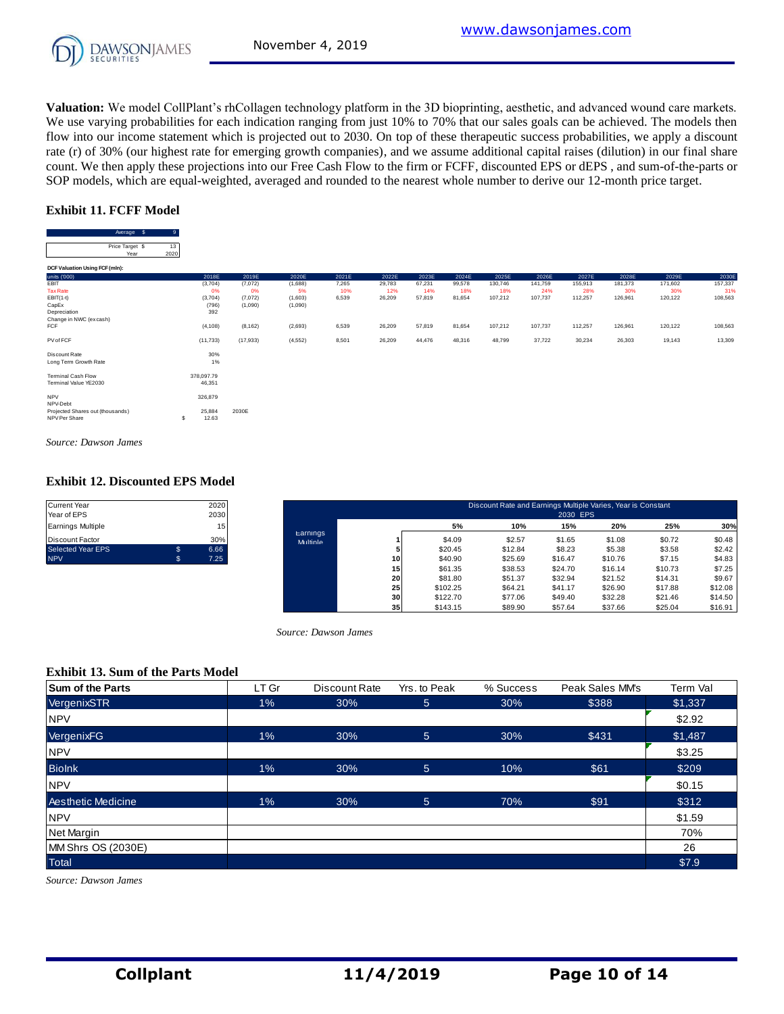

**Valuation:** We model CollPlant's rhCollagen technology platform in the 3D bioprinting, aesthetic, and advanced wound care markets. We use varying probabilities for each indication ranging from just 10% to 70% that our sales goals can be achieved. The models then flow into our income statement which is projected out to 2030. On top of these therapeutic success probabilities, we apply a discount rate (r) of 30% (our highest rate for emerging growth companies), and we assume additional capital raises (dilution) in our final share count. We then apply these projections into our Free Cash Flow to the firm or FCFF, discounted EPS or dEPS , and sum-of-the-parts or SOP models, which are equal-weighted, averaged and rounded to the nearest whole number to derive our 12-month price target.

#### **Exhibit 11. FCFF Model**

|                                  | SOP models, which are equal-weighted, averaged and rounded to the nearest whole number to derive our 12-month price target. |            |            |           |           |           |             |           |           |             |           |           |             |           |             |
|----------------------------------|-----------------------------------------------------------------------------------------------------------------------------|------------|------------|-----------|-----------|-----------|-------------|-----------|-----------|-------------|-----------|-----------|-------------|-----------|-------------|
|                                  | <b>Exhibit 11. FCFF Model</b>                                                                                               |            |            |           |           |           |             |           |           |             |           |           |             |           |             |
|                                  | Average \$                                                                                                                  | 9          |            |           |           |           |             |           |           |             |           |           |             |           |             |
|                                  | Price Target \$<br>Year                                                                                                     | 13<br>2020 |            |           |           |           |             |           |           |             |           |           |             |           |             |
| DCF Valuation Using FCF (mln):   |                                                                                                                             |            | $\cdots$   | $- - - -$ | $- - - -$ | $- - - -$ | $- - - - -$ | $- - - -$ | $- - - -$ | $- - - - -$ | $- - - -$ | $- - - -$ | $- - - - -$ | $- - - -$ | $- - - - -$ |
| units ('000)                     |                                                                                                                             |            | 2018E      | 2019E     | 2020E     | 2021E     | 2022E       | 2023E     | 2024E     | 2025E       | 2026E     | 2027E     | 2028E       | 2029E     | 2030E       |
| <b>EBIT</b>                      |                                                                                                                             |            | (3,704)    | (7,072)   | (1,688)   | 7,265     | 29,783      | 67,231    | 99,578    | 130,746     | 141,759   | 155,913   | 181,373     | 171,602   | 157,337     |
| <b>Tax Rate</b>                  |                                                                                                                             |            | 0%         | 0%        | 5%        | 10%       | 12%         | 14%       | 18%       | 18%         | 24%       | 28%       | 30%         | 30%       | 31%         |
| $EBIT(1-t)$                      |                                                                                                                             |            | (3,704)    | (7,072)   | (1,603)   | 6,539     | 26,209      | 57,819    | 81,654    | 107,212     | 107,737   | 112,257   | 126,961     | 120,122   | 108,563     |
| CapEx                            |                                                                                                                             |            | (796)      | (1,090)   | (1,090)   |           |             |           |           |             |           |           |             |           |             |
| Depreciation                     |                                                                                                                             |            | 392        |           |           |           |             |           |           |             |           |           |             |           |             |
| Change in NWC (excash)<br>FCF    |                                                                                                                             |            | (4, 108)   | (8, 162)  | (2,693)   | 6,539     | 26,209      | 57,819    | 81,654    | 107,212     | 107,737   | 112,257   | 126,961     | 120,122   | 108,563     |
|                                  |                                                                                                                             |            |            |           |           |           |             |           |           |             |           |           |             |           |             |
| PV of FCF                        |                                                                                                                             |            | (11,733)   | (17, 933) | (4, 552)  | 8,501     | 26,209      | 44,476    | 48,316    | 48,799      | 37,722    | 30,234    | 26,303      | 19,143    | 13,309      |
| Discount Rate                    |                                                                                                                             |            | 30%        |           |           |           |             |           |           |             |           |           |             |           |             |
| Long Term Growth Rate            |                                                                                                                             |            | 1%         |           |           |           |             |           |           |             |           |           |             |           |             |
|                                  |                                                                                                                             |            |            |           |           |           |             |           |           |             |           |           |             |           |             |
| <b>Terminal Cash Flow</b>        |                                                                                                                             |            | 378,097.79 |           |           |           |             |           |           |             |           |           |             |           |             |
| Terminal Value YE2030            |                                                                                                                             |            | 46,351     |           |           |           |             |           |           |             |           |           |             |           |             |
|                                  |                                                                                                                             |            |            |           |           |           |             |           |           |             |           |           |             |           |             |
| NPV<br>NPV-Debt                  |                                                                                                                             |            | 326,879    |           |           |           |             |           |           |             |           |           |             |           |             |
| Projected Shares out (thousands) |                                                                                                                             |            | 25,884     | 2030E     |           |           |             |           |           |             |           |           |             |           |             |
| NPV Per Share                    |                                                                                                                             | s          | 12.63      |           |           |           |             |           |           |             |           |           |             |           |             |
|                                  |                                                                                                                             |            |            |           |           |           |             |           |           |             |           |           |             |           |             |

*Source: Dawson James*

#### **Exhibit 12. Discounted EPS Model**

| <b>Current Year</b>      |    | 2020 |
|--------------------------|----|------|
| Year of EPS              |    | 2030 |
| <b>Earnings Multiple</b> |    | 15   |
| <b>Discount Factor</b>   |    | 30%  |
| <b>Selected Year EPS</b> | S  | 6.66 |
| <b>NPV</b>               | ß. | 7.25 |

| Current Year<br>Year of EPS |              | 2020<br>2030 |                      |    |          | Discount Rate and Earnings Multiple Varies, Year is Constant | 2030 EPS |         |         |         |
|-----------------------------|--------------|--------------|----------------------|----|----------|--------------------------------------------------------------|----------|---------|---------|---------|
| Earnings Multiple           |              | 15           |                      |    | 5%       | 10%                                                          | 15%      | 20%     | 25%     | 30%     |
| Discount Factor             |              | 30%          | Earnings<br>Multiple |    | \$4.09   | \$2.57                                                       | \$1.65   | \$1.08  | \$0.72  | \$0.48  |
| Selected Year EPS           | $\mathbb{S}$ | 6.66         |                      |    | \$20.45  | \$12.84                                                      | \$8.23   | \$5.38  | \$3.58  | \$2.42  |
| <b>NPV</b>                  | s.           | 7.25         |                      | 10 | \$40.90  | \$25.69                                                      | \$16.47  | \$10.76 | \$7.15  | \$4.83  |
|                             |              |              |                      | 15 | \$61.35  | \$38.53                                                      | \$24.70  | \$16.14 | \$10.73 | \$7.25  |
|                             |              |              |                      | 20 | \$81.80  | \$51.37                                                      | \$32.94  | \$21.52 | \$14.31 | \$9.67  |
|                             |              |              |                      | 25 | \$102.25 | \$64.21                                                      | \$41.17  | \$26.90 | \$17.88 | \$12.08 |
|                             |              |              |                      | 30 | \$122.70 | \$77.06                                                      | \$49.40  | \$32.28 | \$21.46 | \$14.50 |
|                             |              |              |                      | 35 | \$143.15 | \$89.90                                                      | \$57.64  | \$37.66 | \$25.04 | \$16.91 |

*Source: Dawson James*

#### **Exhibit 13. Sum of the Parts Model**

| <b>Exhibit 13. Sum of the Parts Model</b> |       |               |                 |           |                 |          |
|-------------------------------------------|-------|---------------|-----------------|-----------|-----------------|----------|
| <b>Sum of the Parts</b>                   | LT Gr | Discount Rate | Yrs. to Peak    | % Success | Peak Sales MM's | Term Val |
| VergenixSTR                               | $1\%$ | 30%           | 5 <sup>5</sup>  | 30%       | \$388           | \$1,337  |
| <b>NPV</b>                                |       |               |                 |           |                 | \$2.92   |
| VergenixFG                                | 1%    | 30%           | $5\overline{)}$ | 30%       | \$431           | \$1,487  |
| <b>NPV</b>                                |       |               |                 |           |                 | \$3.25   |
| <b>Biolnk</b>                             | 1%    | 30%           | $5\overline{)}$ | 10%       | \$61            | \$209    |
| <b>NPV</b>                                |       |               |                 |           |                 | \$0.15   |
| <b>Aesthetic Medicine</b>                 | 1%    | 30%           | $5\overline{)}$ | 70%       | \$91            | \$312    |
| <b>NPV</b>                                |       |               |                 |           |                 | \$1.59   |
| Net Margin                                |       |               |                 |           |                 | 70%      |
| MM Shrs OS (2030E)                        |       |               |                 |           |                 | 26       |
| <b>Total</b>                              |       |               |                 |           |                 | \$7.9    |

*Source: Dawson James*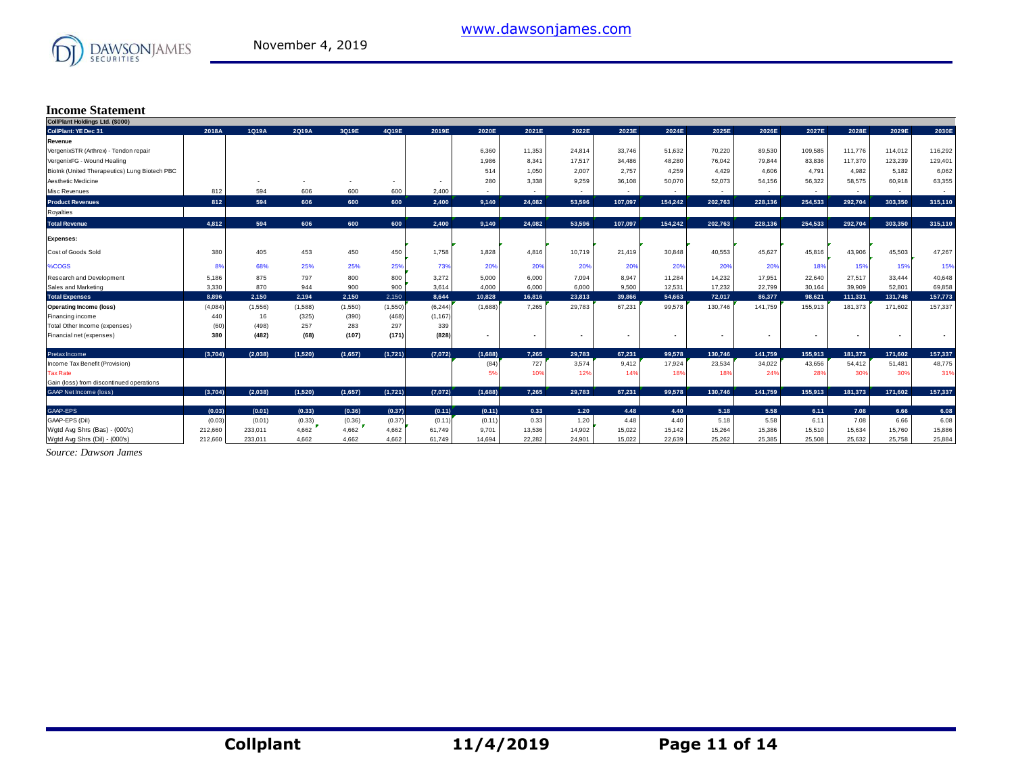

# **Income Statement**

| CollPlant Holdings Ltd. (\$000)               |         |         |         |         |         |          |                          |                          |                          |                          |                          |                          |         |         |                          |                          |         |
|-----------------------------------------------|---------|---------|---------|---------|---------|----------|--------------------------|--------------------------|--------------------------|--------------------------|--------------------------|--------------------------|---------|---------|--------------------------|--------------------------|---------|
| <b>CollPlant: YE Dec 31</b>                   | 2018A   | 1Q19A   | 2Q19A   | 3Q19E   | 4Q19E   | 2019E    | 2020E                    | 2021E                    | 2022E                    | 2023E                    | 2024E                    | 2025E                    | 2026E   | 2027E   | 2028E                    | 2029E                    | 2030E   |
| Revenue                                       |         |         |         |         |         |          |                          |                          |                          |                          |                          |                          |         |         |                          |                          |         |
| VergenixSTR (Arthrex) - Tendon repair         |         |         |         |         |         |          | 6,360                    | 11,353                   | 24,814                   | 33,746                   | 51,632                   | 70,220                   | 89,530  | 109,585 | 111.776                  | 114,012                  | 116,292 |
| VergenixFG - Wound Healing                    |         |         |         |         |         |          | 1,986                    | 8,341                    | 17.517                   | 34.486                   | 48.280                   | 76,042                   | 79.844  | 83.836  | 117,370                  | 123,239                  | 129,401 |
| Biolnk (United Therapeutics) Lung Biotech PBC |         |         |         |         |         |          | 514                      | 1.050                    | 2.007                    | 2.757                    | 4.259                    | 4.429                    | 4.606   | 4.791   | 4.982                    | 5.182                    | 6,062   |
| Aesthetic Medicine                            |         |         |         |         | $\sim$  | $\sim$   | 280                      | 3,338                    | 9,259                    | 36,108                   | 50,070                   | 52,073                   | 54.156  | 56.322  | 58,575                   | 60,918                   | 63,355  |
| Misc Revenues                                 | 812     | 594     | 606     | 600     | 600     | 2,400    | $\sim$                   | $\overline{\phantom{a}}$ | $\sim$                   | $\sim$                   | $\sim$                   | $\sim$                   | $\sim$  | $\sim$  | $\sim$                   | $\sim$                   | $\sim$  |
| <b>Product Revenues</b>                       | 812     | 594     | 606     | 600     | 600     | 2,400    | 9.140                    | 24.082                   | 53.596                   | 107.097                  | 154.242                  | 202.763                  | 228.136 | 254.533 | 292.704                  | 303.350                  | 315,110 |
| Royalties                                     |         |         |         |         |         |          |                          |                          |                          |                          |                          |                          |         |         |                          |                          |         |
| <b>Total Revenue</b>                          | 4.812   | 594     | 606     | 600     | 600     | 2.400    | 9.140                    | 24.082                   | 53.596                   | 107.097                  | 154.242                  | 202,763                  | 228.136 | 254.533 | 292.704                  | 303.350                  | 315,110 |
| <b>Expenses:</b>                              |         |         |         |         |         |          |                          |                          |                          |                          |                          |                          |         |         |                          |                          |         |
| Cost of Goods Sold                            | 380     | 405     | 453     | 450     | 450     | 1,758    | 1,828                    | 4,816                    | 10,719                   | 21,419                   | 30,848                   | 40,553                   | 45.627  | 45,816  | 43,906                   | 45,503                   | 47,267  |
| <b>%COGS</b>                                  | 89      | 68%     | 25%     | 25%     | 25%     | 73%      | 20%                      | 20%                      | 20%                      | 20%                      | 20%                      | 20%                      | 20%     | 18%     | 15%                      | 15%                      | 15%     |
| Research and Development                      | 5,186   | 875     | 797     | 800     | 800     | 3,272    | 5,000                    | 6,000                    | 7,094                    | 8,947                    | 11,284                   | 14,232                   | 17,951  | 22,640  | 27,517                   | 33,444                   | 40,648  |
| Sales and Marketing                           | 3.330   | 870     | 944     | 900     | 900     | 3.614    | 4.000                    | 6.000                    | 6,000                    | 9.500                    | 12.531                   | 17.232                   | 22,799  | 30.164  | 39,909                   | 52,801                   | 69,858  |
| <b>Total Expenses</b>                         | 8.896   | 2.150   | 2.194   | 2,150   | 2,150   | 8.644    | 10.828                   | 16,816                   | 23,813                   | 39,866                   | 54.663                   | 72.017                   | 86,377  | 98.621  | 111,331                  | 131,748                  | 157,773 |
| <b>Operating Income (loss)</b>                | (4,084) | (1,556) | (1,588) | (1,550) | (1,550) | (6, 244) | (1,688)                  | 7.265                    | 29,783                   | 67,231                   | 99,578                   | 130,746                  | 141.759 | 155,913 | 181,373                  | 171,602                  | 157,337 |
| Financing income                              | 440     | 16      | (325)   | (390)   | (468)   | (1, 167) |                          |                          |                          |                          |                          |                          |         |         |                          |                          |         |
| Total Other Income (expenses)                 | (60)    | (498)   | 257     | 283     | 297     | 339      |                          |                          |                          |                          |                          |                          |         |         |                          |                          |         |
| Financial net (expenses)                      | 380     | (482)   | (68)    | (107)   | (171)   | (828)    | $\overline{\phantom{a}}$ |                          | $\overline{\phantom{a}}$ | $\overline{\phantom{a}}$ | $\overline{\phantom{a}}$ | $\overline{\phantom{a}}$ |         |         | $\overline{\phantom{a}}$ | $\overline{\phantom{a}}$ |         |
| Pretax Income                                 | (3.704) | (2.038) | (1.520) | (1.657) | (1,721) | (7,072)  | (1,688)                  | 7.265                    | 29.783                   | 67.231                   | 99.578                   | 130.746                  | 141.759 | 155,913 | 181.373                  | 171.602                  | 157,337 |
| Income Tax Benefit (Provision)                |         |         |         |         |         |          | (84)                     | 727                      | 3,574                    | 9,412                    | 17,924                   | 23,534                   | 34,022  | 43,656  | 54,412                   | 51,481                   | 48,775  |
| Tax Rate                                      |         |         |         |         |         |          | 59                       | 10%                      | 12%                      | 14%                      | 18 <sup>°</sup>          | 18%                      | 24%     | 28%     | 30%                      | 30%                      | 319     |
| Gain (loss) from discontinued operations      |         |         |         |         |         |          |                          |                          |                          |                          |                          |                          |         |         |                          |                          |         |
| <b>GAAP Net Income (loss)</b>                 | (3,704) | (2,038) | (1,520) | (1,657) | (1,721) | (7,072)  | (1,688)                  | 7,265                    | 29,783                   | 67.231                   | 99,578                   | 130.746                  | 141,759 | 155,913 | 181,373                  | 171,602                  | 157,337 |
| GAAP-EPS                                      | (0.03)  | (0.01)  | (0.33)  | (0.36)  | (0.37)  | (0.11)   | (0.11)                   | 0.33                     | $1.20$                   | 4.48                     | 4.40                     | 5.18                     | 5.58    | 6.11    | 7.08                     | 6.66                     | 6.08    |
| GAAP-EPS (Dil)                                | (0.03)  | (0.01)  | (0.33)  | (0.36)  | (0.37)  | (0.11)   | (0.11)                   | 0.33                     | 1.20                     | 4.48                     | 4.40                     | 5.18                     | 5.58    | 6.11    | 7.08                     | 6.66                     | 6.08    |
| Wgtd Avg Shrs (Bas) - (000's)                 | 212,660 | 233.011 | 4.662   | 4.662   | 4,662   | 61,749   | 9,701                    | 13,536                   | 14,902                   | 15,022                   | 15,142                   | 15,264                   | 15,386  | 15,510  | 15,634                   | 15.760                   | 15,886  |
| Wgtd Avg Shrs (Dil) - (000's)                 | 212,660 | 233.011 | 4.662   | 4.662   | 4,662   | 61.749   | 14.694                   | 22.282                   | 24.901                   | 15.022                   | 22.639                   | 25.262                   | 25.385  | 25.508  | 25.632                   | 25.758                   | 25,884  |

*Source: Dawson James*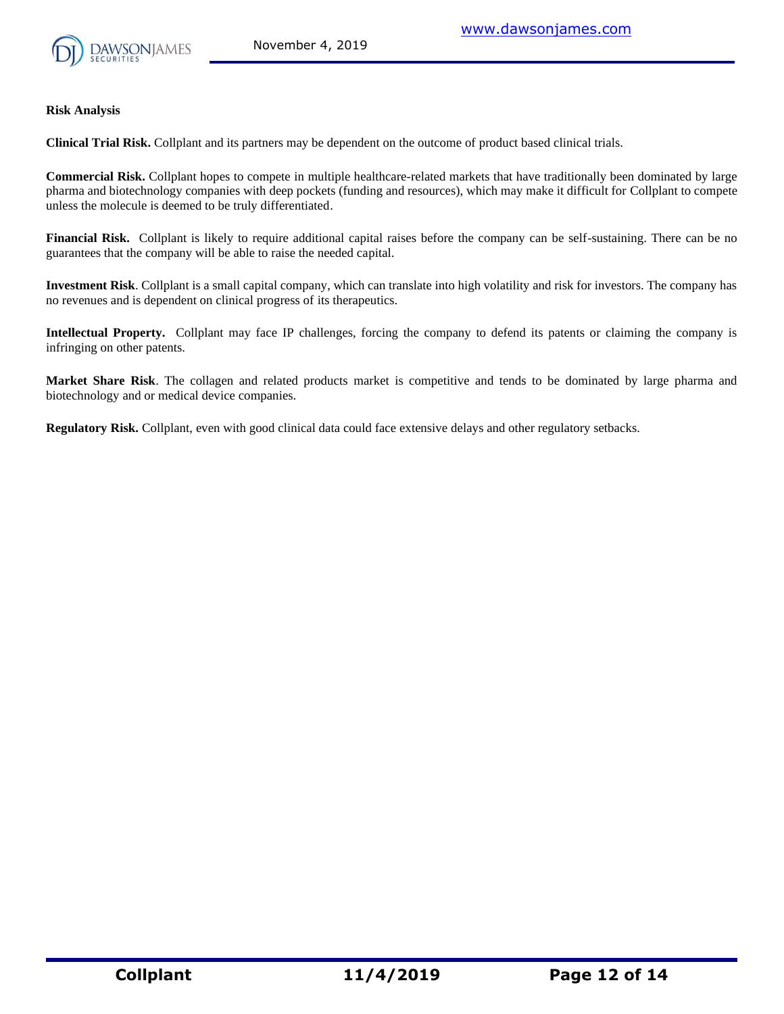

#### **Risk Analysis**

**Clinical Trial Risk.** Collplant and its partners may be dependent on the outcome of product based clinical trials.

**Commercial Risk.** Collplant hopes to compete in multiple healthcare-related markets that have traditionally been dominated by large pharma and biotechnology companies with deep pockets (funding and resources), which may make it difficult for Collplant to compete unless the molecule is deemed to be truly differentiated.

**Financial Risk.** Collplant is likely to require additional capital raises before the company can be self-sustaining. There can be no guarantees that the company will be able to raise the needed capital.

**Investment Risk**. Collplant is a small capital company, which can translate into high volatility and risk for investors. The company has no revenues and is dependent on clinical progress of its therapeutics.

**Intellectual Property.** Collplant may face IP challenges, forcing the company to defend its patents or claiming the company is infringing on other patents.

**Market Share Risk**. The collagen and related products market is competitive and tends to be dominated by large pharma and biotechnology and or medical device companies.

**Regulatory Risk.** Collplant, even with good clinical data could face extensive delays and other regulatory setbacks.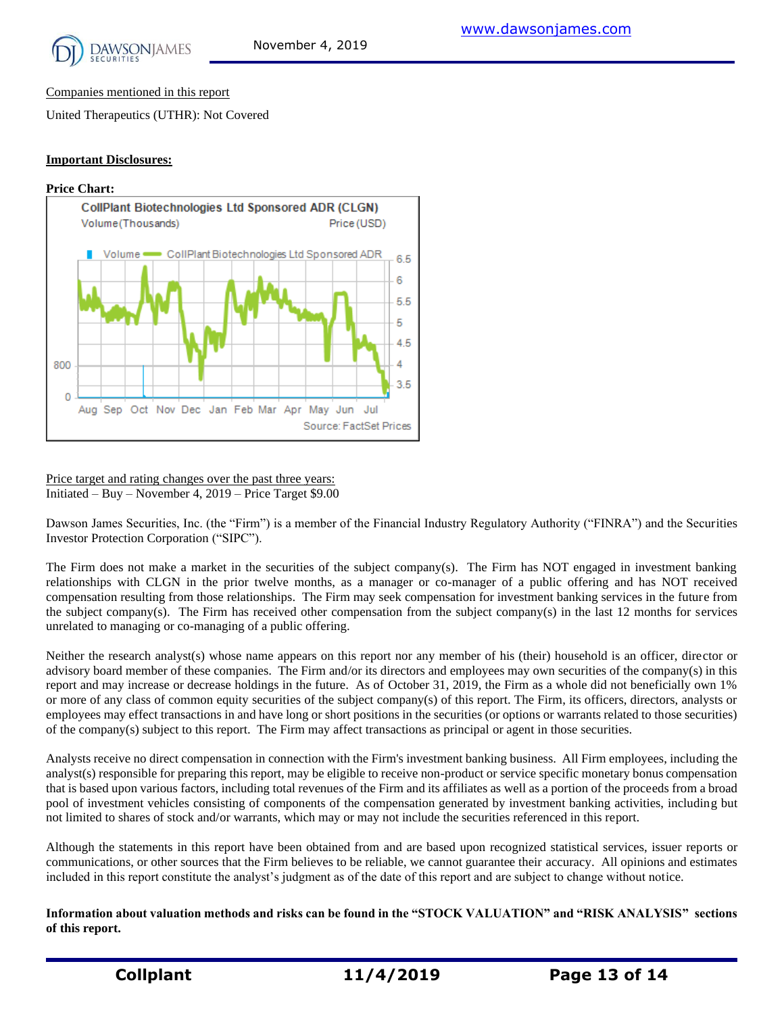

Companies mentioned in this report

United Therapeutics (UTHR): Not Covered

#### **Important Disclosures:**



Price target and rating changes over the past three years: Initiated – Buy – November 4, 2019 – Price Target \$9.00

Dawson James Securities, Inc. (the "Firm") is a member of the Financial Industry Regulatory Authority ("FINRA") and the Securities Investor Protection Corporation ("SIPC").

The Firm does not make a market in the securities of the subject company(s). The Firm has NOT engaged in investment banking relationships with CLGN in the prior twelve months, as a manager or co-manager of a public offering and has NOT received compensation resulting from those relationships. The Firm may seek compensation for investment banking services in the future from the subject company(s). The Firm has received other compensation from the subject company(s) in the last 12 months for services unrelated to managing or co-managing of a public offering.

Neither the research analyst(s) whose name appears on this report nor any member of his (their) household is an officer, director or advisory board member of these companies. The Firm and/or its directors and employees may own securities of the company(s) in this report and may increase or decrease holdings in the future. As of October 31, 2019, the Firm as a whole did not beneficially own 1% or more of any class of common equity securities of the subject company(s) of this report. The Firm, its officers, directors, analysts or employees may effect transactions in and have long or short positions in the securities (or options or warrants related to those securities) of the company(s) subject to this report. The Firm may affect transactions as principal or agent in those securities.

Analysts receive no direct compensation in connection with the Firm's investment banking business. All Firm employees, including the analyst(s) responsible for preparing this report, may be eligible to receive non-product or service specific monetary bonus compensation that is based upon various factors, including total revenues of the Firm and its affiliates as well as a portion of the proceeds from a broad pool of investment vehicles consisting of components of the compensation generated by investment banking activities, including but not limited to shares of stock and/or warrants, which may or may not include the securities referenced in this report.

Although the statements in this report have been obtained from and are based upon recognized statistical services, issuer reports or communications, or other sources that the Firm believes to be reliable, we cannot guarantee their accuracy. All opinions and estimates included in this report constitute the analyst's judgment as of the date of this report and are subject to change without notice.

**Information about valuation methods and risks can be found in the "STOCK VALUATION" and "RISK ANALYSIS" sections of this report.**